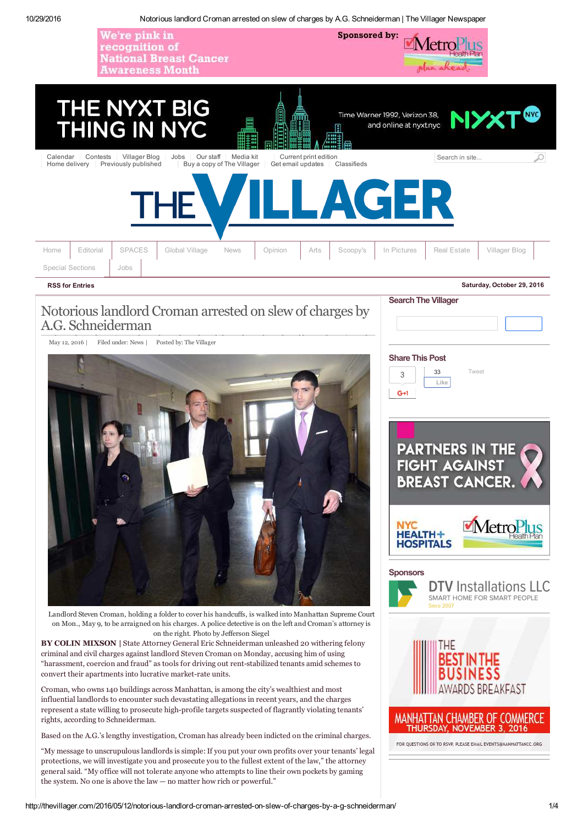



Landlord Steven Croman, holding a folder to cover his handcuffs, is walked into Manhattan Supreme Court on Mon., May 9, to be arraigned on his charges. A police detective is on the left and Croman's attorney is on the right. Photo by Jefferson Siegel

**BY COLIN MIXSON |** State Attorney General Eric Schneiderman unleashed 20 withering felony criminal and civil charges against landlord Steven Croman on Monday, accusing him of using "harassment, coercion and fraud" as tools for driving out rent-stabilized tenants amid schemes to convert their apartments into lucrative market-rate units.

Croman, who owns 140 buildings across Manhattan, is among the city's wealthiest and most influential landlords to encounter such devastating allegations in recent years, and the charges represent a state willing to prosecute high-profile targets suspected of flagrantly violating tenants' rights, according to Schneiderman.

Based on the A.G.'s lengthy investigation, Croman has already been indicted on the criminal charges.

"My message to unscrupulous landlords is simple: If you put your own profits over your tenants' legal protections, we will investigate you and prosecute you to the fullest extent of the law," the attorney general said. "My office will not tolerate anyone who attempts to line their own pockets by gaming the system. No one is above the law — no matter how rich or powerful."

### MetroP **HEALTH-HOSPITALS Sponsors DTV** Installations LLC





### MANHATTAN CHAMBER OF COMMERCE THURSDAY, NOVEMBER 3, 2016

FOR QUESTIONS OR TO RSVP. PLEASE EMAIL EVENTS@MANHATTANCC.ORG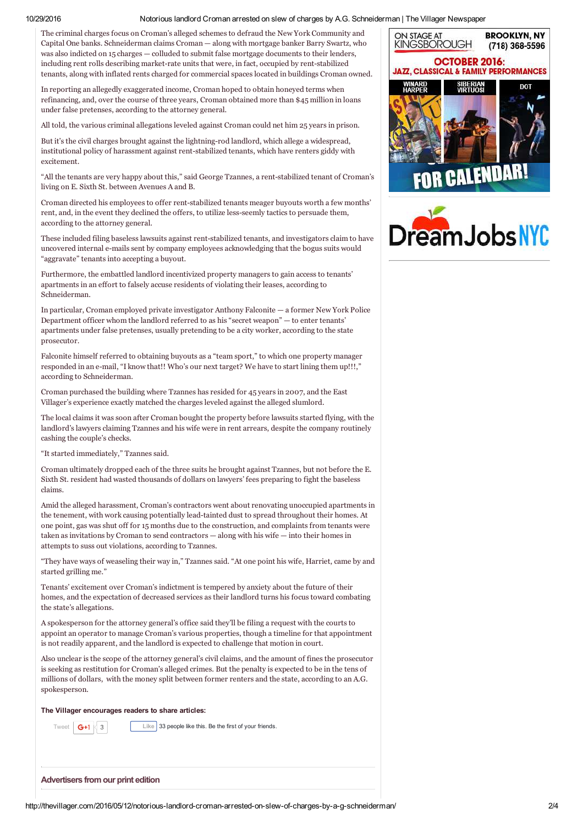### 10/29/2016 Notorious landlord Croman arrested on slew of charges by A.G. Schneiderman | The Villager Newspaper

The criminal charges focus on Croman's alleged schemes to defraud the New York Community and Capital One banks. Schneiderman claims Croman — along with mortgage banker Barry Swartz, who was also indicted on 15 charges — colluded to submit false mortgage documents to their lenders, including rent rolls describing market-rate units that were, in fact, occupied by rent-stabilized tenants, along with inflated rents charged for commercial spaces located in buildings Croman owned.

In reporting an allegedly exaggerated income, Croman hoped to obtain honeyed terms when refinancing, and, over the course of three years, Croman obtained more than \$45 million in loans under false pretenses, according to the attorney general.

All told, the various criminal allegations leveled against Croman could net him 25 years in prison.

But it's the civil charges brought against the lightning-rod landlord, which allege a widespread, institutional policy of harassment against rent-stabilized tenants, which have renters giddy with excitement.

"All the tenants are very happy about this," said George Tzannes, a rent-stabilized tenant of Croman's living on E. Sixth St. between Avenues A and B.

Croman directed his employees to offer rent-stabilized tenants meager buyouts worth a few months' rent, and, in the event they declined the offers, to utilize less-seemly tactics to persuade them, according to the attorney general.

These included filing baseless lawsuits against rent-stabilized tenants, and investigators claim to have uncovered internal e-mails sent by company employees acknowledging that the bogus suits would "aggravate" tenants into accepting a buyout.

Furthermore, the embattled landlord incentivized property managers to gain access to tenants' apartments in an effort to falsely accuse residents of violating their leases, according to Schneiderman.

In particular, Croman employed private investigator Anthony Falconite — a former New York Police Department officer whom the landlord referred to as his "secret weapon" — to enter tenants' apartments under false pretenses, usually pretending to be a city worker, according to the state prosecutor.

Falconite himself referred to obtaining buyouts as a "team sport," to which one property manager responded in an e-mail, "I know that!! Who's our next target? We have to start lining them up!!!," according to Schneiderman.

Croman purchased the building where Tzannes has resided for 45 years in 2007, and the East Villager's experience exactly matched the charges leveled against the alleged slumlord.

The local claims it was soon after Croman bought the property before lawsuits started flying, with the landlord's lawyers claiming Tzannes and his wife were in rent arrears, despite the company routinely cashing the couple's checks.

"It started immediately," Tzannes said.

Croman ultimately dropped each of the three suits he brought against Tzannes, but not before the E. Sixth St. resident had wasted thousands of dollars on lawyers' fees preparing to fight the baseless claims.

Amid the alleged harassment, Croman's contractors went about renovating unoccupied apartments in the tenement, with work causing potentially lead-tainted dust to spread throughout their homes. At one point, gas was shut off for 15 months due to the construction, and complaints from tenants were taken as invitations by Croman to send contractors — along with his wife — into their homes in attempts to suss out violations, according to Tzannes.

"They have ways of weaseling their way in," Tzannes said. "At one point his wife, Harriet, came by and started grilling me."

Tenants' excitement over Croman's indictment is tempered by anxiety about the future of their homes, and the expectation of decreased services as their landlord turns his focus toward combating the state's allegations.

A spokesperson for the attorney general's office said they'll be filing a request with the courts to appoint an operator to manage Croman's various properties, though a timeline for that appointment is not readily apparent, and the landlord is expected to challenge that motion in court.

Also unclear is the scope of the attorney general's civil claims, and the amount of fines the prosecutor is seeking as restitution for Croman's alleged crimes. But the penalty is expected to be in the tens of millions of dollars, with the money split between former renters and the state, according to an A.G. spokesperson.

**The Villager encourages readers to share articles:**

 $\boxed{G+1}$  3<br>Like 33 people like this. Be the first of your friends.

**Advertisers from our print edition**



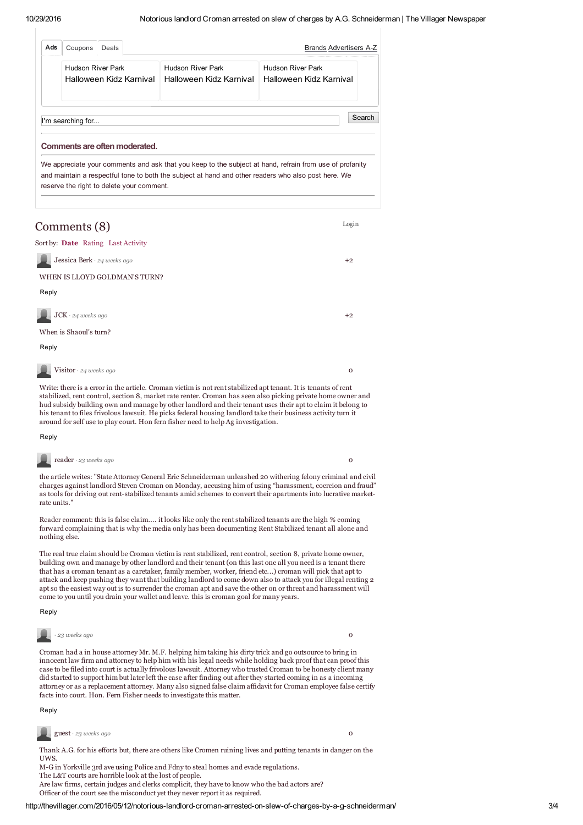| Ads<br><b>Brands Advertisers A-Z</b><br>Deals<br>Coupons |                                                                                                     |                                                                                                         |  |  |
|----------------------------------------------------------|-----------------------------------------------------------------------------------------------------|---------------------------------------------------------------------------------------------------------|--|--|
| <b>Hudson River Park</b><br>Halloween Kidz Karnival      | <b>Hudson River Park</b><br>Halloween Kidz Karnival                                                 | <b>Hudson River Park</b><br>Halloween Kidz Karnival                                                     |  |  |
| I'm searching for<br>Comments are often moderated.       |                                                                                                     | Search                                                                                                  |  |  |
|                                                          | and maintain a respectful tone to both the subject at hand and other readers who also post here. We | We appreciate your comments and ask that you keep to the subject at hand, refrain from use of profanity |  |  |

## Jessica Berk +2 *· 24 weeks ago* Reply JCK +2 *· 24 weeks ago* Reply Comments (8) Sort by: **Date** Rating Last Activity WHEN IS LLOYD GOLDMAN'S TURN? When is Shaoul's turn?

Write: there is a error in the article. Croman victim is not rent stabilized apt tenant. It is tenants of rent stabilized, rent control, section 8, market rate renter. Croman has seen also picking private home owner and hud subsidy building own and manage by other landlord and their tenant uses their apt to claim it belong to his tenant to files frivolous lawsuit. He picks federal housing landlord take their business activity turn it

around for self use to play court. Hon fern fisher need to help Ag investigation.

**Visitor**  $\cdot$  24 weeks ago **o** *o* 

# Reply

**reader** · 23 weeks ago **o** *o* 

the article writes: "State Attorney General Eric Schneiderman unleashed 20 withering felony criminal and civil charges against landlord Steven Croman on Monday, accusing him of using "harassment, coercion and fraud" as tools for driving out rent-stabilized tenants amid schemes to convert their apartments into lucrative marketrate units."

Reader comment: this is false claim.... it looks like only the rent stabilized tenants are the high % coming forward complaining that is why the media only has been documenting Rent Stabilized tenant all alone and nothing else.

The real true claim should be Croman victim is rent stabilized, rent control, section 8, private home owner, building own and manage by other landlord and their tenant (on this last one all you need is a tenant there that has a croman tenant as a caretaker, family member, worker, friend etc...) croman will pick that apt to attack and keep pushing they want that building landlord to come down also to attack you for illegal renting 2 apt so the easiest way out is to surrender the croman apt and save the other on or threat and harassment will come to you until you drain your wallet and leave. this is croman goal for many years.

Reply



 $\overline{O}$ 

Croman had a in house attorney Mr. M.F. helping him taking his dirty trick and go outsource to bring in innocent law firm and attorney to help him with his legal needs while holding back proof that can proof this case to be filed into court is actually frivolous lawsuit. Attorney who trusted Croman to be honesty client many did started to support him but later left the case after finding out after they started coming in as a incoming attorney or as a replacement attorney. Many also signed false claim affidavit for Croman employee false certify facts into court. Hon. Fern Fisher needs to investigate this matter.

#### Reply



Thank A.G. for his efforts but, there are others like Cromen ruining lives and putting tenants in danger on the UWS.

M-G in Yorkville 3rd ave using Police and Fdny to steal homes and evade regulations.

The L&T courts are horrible look at the lost of people.

Are law firms, certain judges and clerks complicit, they have to know who the bad actors are? Officer of the court see the misconduct yet they never report it as required.